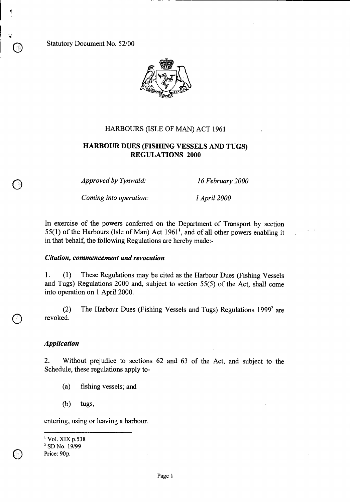Statutory Document No. 52/00



## HARBOURS (ISLE OF MAN) ACT 1961

# **HARBOUR DUES (FISHING VESSELS AND TUGS) REGULATIONS 2000**

*Approved by Tynwald: 16 February 2000* 

*Coming into operation: 1 April 2000* 

In exercise of the powers conferred on the Department of Transport by section 55(1) of the Harbours (Isle of Man) Act  $1961<sup>1</sup>$ , and of all other powers enabling it in that behalf, the following Regulations are hereby made:-

#### *Citation, commencement and revocation*

1. (1) These Regulations may be cited as the Harbour Dues (Fishing Vessels and Tugs) Regulations 2000 and, subject to section 55(5) of the Act, shall come into operation on 1 April 2000.

(2) The Harbour Dues (Fishing Vessels and Tugs) Regulations  $1999<sup>2</sup>$  are revoked.

#### *Application*

 $\bigcirc$ 

2. Without prejudice to sections 62 and 63 of the Act, and subject to the Schedule, these regulations apply to-

- (a) fishing vessels; and
- (b) tugs,

entering, using or leaving a harbour.

Vol. XIX p.538

<sup>&</sup>lt;sup>2</sup> SD No. 19/99

Price: 90p.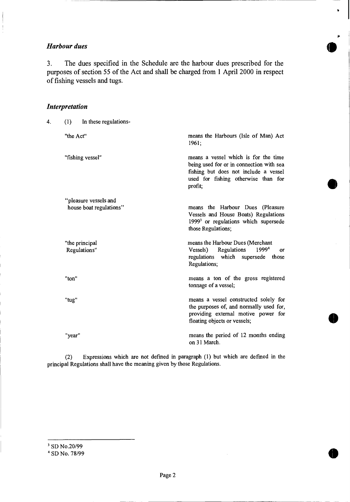# *Harbour dues*

 $\frac{1}{2}$ 

3. The dues specified in the Schedule are the harbour dues prescribed for the purposes of section 55 of the Act and shall be charged from 1 April 2000 in respect of fishing vessels and tugs.

# *Interpretation*

| 4. | In these regulations-<br>(1)    |                                                                                                                                                                             |
|----|---------------------------------|-----------------------------------------------------------------------------------------------------------------------------------------------------------------------------|
|    | "the Act"                       | means the Harbours (Isle of Man) Act<br>1961;                                                                                                                               |
|    | "fishing vessel"                | means a vessel which is for the time<br>being used for or in connection with sea<br>fishing but does not include a vessel<br>used for fishing otherwise than for<br>profit; |
|    | "pleasure vessels and           |                                                                                                                                                                             |
|    | house boat regulations"         | means the Harbour Dues (Pleasure<br>Vessels and House Boats) Regulations<br>1999 <sup>3</sup> or regulations which supersede<br>those Regulations;                          |
|    | "the principal"<br>Regulations" | means the Harbour Dues (Merchant<br>19994<br>Regulations<br>Vessels)<br>or<br>regulations which supersede those<br>Regulations;                                             |
|    | "ton"                           | means a ton of the gross registered<br>tonnage of a vessel;                                                                                                                 |
|    | "tug"                           | means a vessel constructed solely for<br>the purposes of, and normally used for,<br>providing external motive power for<br>floating objects or vessels;                     |
|    | "year"                          | means the period of 12 months ending<br>on 31 March.                                                                                                                        |
|    |                                 |                                                                                                                                                                             |

**•** 

 $\bullet$ 

a

v

(2) Expressions which are not defined in paragraph (1) but which are defined in the principal Regulations shall have the meaning given by those Regulations.

<sup>&</sup>lt;sup>3</sup> SD No.20/99

<sup>&</sup>lt;sup>4</sup> SD No. 78/99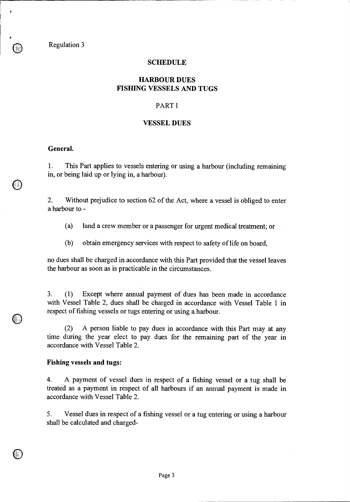Regulation 3

#### **SCHEDULE**

# **HARBOUR DUES FISHING VESSELS AND TUGS**

# PART I

# **VESSEL DUES**

#### **General.**

1. This Part applies to vessels entering or using a harbour (including remaining in, or being laid up or lying in, a harbour).

2. Without prejudice to section 62 of the Act, where a vessel is obliged to enter a harbour to -

(a) land a crew member or a passenger for urgent medical treatment; or

(b) obtain emergency services with respect to safety of life on board,

no dues shall be charged in accordance with this Part provided that the vessel leaves the harbour as soon as is practicable in the circumstances.

3. (1) Except where annual payment of dues has been made in accordance with Vessel Table 2, dues shall be charged in accordance with Vessel Table 1 in respect of fishing vessels or tugs entering or using a harbour.

(2) A person liable to pay dues in accordance with this Part may at any time during the year elect to pay dues for the remaining part of the year in accordance with Vessel Table 2.

#### **Fishing vessels and tugs:**

4. A payment of vessel dues in respect of a fishing vessel or a tug shall be treated as a payment in respect of all harbours if an annual payment is made in accordance with Vessel Table 2.

5. Vessel dues in respect of a fishing vessel or a tug entering or using a harbour shall be calculated and charged-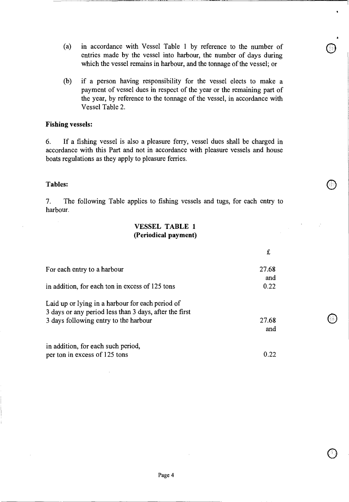- (a) in accordance with Vessel Table 1 by reference to the number of entries made by the vessel into harbour, the number of days during which the vessel remains in harbour, and the tonnage of the vessel; or
- (b) if a person having responsibility for the vessel elects to make a payment of vessel dues in respect of the year or the remaining part of the year, by reference to the tonnage of the vessel, in accordance with Vessel Table 2.

## **Fishing vessels:**

6. If a fishing vessel is also a pleasure ferry, vessel dues shall be charged in accordance with this Part and not in accordance with pleasure vessels and house boats regulations as they apply to pleasure ferries.

## **Tables:**

7. The following Table applies to fishing vessels and tugs, for each entry to harbour.

# **VESSEL TABLE 1 (Periodical payment)**

| For each entry to a harbour                                                                                                                         | 27.68        |
|-----------------------------------------------------------------------------------------------------------------------------------------------------|--------------|
| in addition, for each ton in excess of 125 tons                                                                                                     | and<br>0.22  |
| Laid up or lying in a harbour for each period of<br>3 days or any period less than 3 days, after the first<br>3 days following entry to the harbour | 27.68<br>and |
| in addition, for each such period,<br>per ton in excess of 125 tons                                                                                 | 0.22         |
|                                                                                                                                                     |              |

o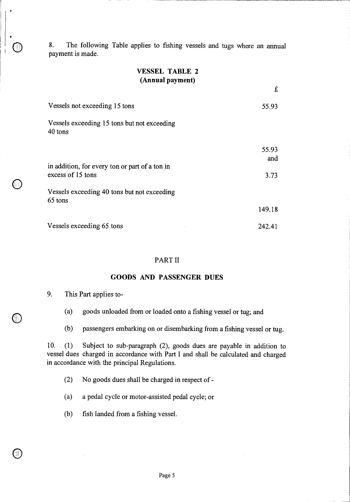8. The following Table applies to fishing vessels and tugs where an annual payment is made.

# **VESSEL TABLE 2 (Annual payment)**

£

| Vessels not exceeding 15 tons                                       | 55.93        |
|---------------------------------------------------------------------|--------------|
| Vessels exceeding 15 tons but not exceeding<br>40 tons              |              |
|                                                                     | 55.93<br>and |
| in addition, for every ton or part of a ton in<br>excess of 15 tons | 3.73         |
| Vessels exceeding 40 tons but not exceeding<br>65 tons              |              |
|                                                                     | 149.18       |
| Vessels exceeding 65 tons                                           | 242.41       |

#### PART **II**

#### **GOODS AND PASSENGER DUES**

9. This Part applies to-

**.** 

 $\circledcirc$ 

- (a) goods unloaded from or loaded onto a fishing vessel or tug; and
- (b) passengers embarking on or disembarking from a fishing vessel or tug.

10. (1) Subject to sub-paragraph (2), goods dues are payable in addition to vessel dues charged in accordance with Part I and shall be calculated and charged in accordance with the principal Regulations.

- (2) No goods dues shall be charged in respect of -
- (a) a pedal cycle or motor-assisted pedal cycle; or
- (b) fish landed from a fishing vessel.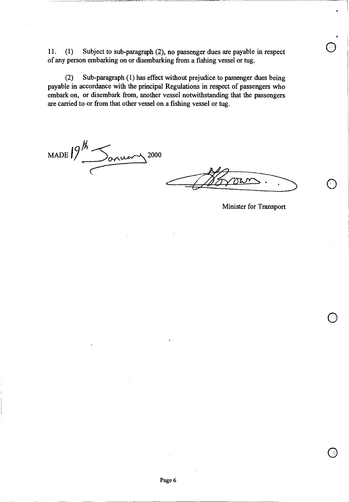11. (1) Subject to sub-paragraph (2), no passenger dues are payable in respect of any person embarking on or disembarking from a fishing vessel or tug.

(2) Sub-paragraph (1) has effect without prejudice to passenger dues being payable in accordance with the principal Regulations in respect of passengers who embark on, or disembark from, another vessel notwithstanding that the passengers are carried to or from that other vessel on a fishing vessel or tug.

 $\frac{194}{\sqrt{3000}}$ 

Minister for Transport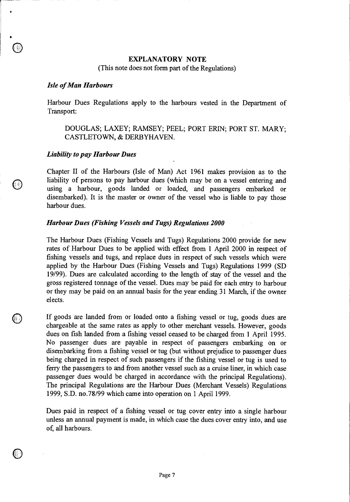# **EXPLANATORY NOTE**

(This note does not form part of the Regulations)

#### *Isle of Man Harbours*

Harbour Dues Regulations apply to the harbours vested in the Department of Transport:

# DOUGLAS; LAXEY; RAMSEY; PEEL; PORT ERIN; PORT ST. MARY; CASTLETOWN, & DERBYHAVEN.

#### *Liability to pay Harbour Dues*

0

Chapter II of the Harbours (Isle of Man) Act 1961 makes provision as to the liability of persons to pay harbour dues (which may be on a vessel entering and using a harbour, goods landed or loaded, and passengers embarked or disembarked). It is the master or owner of the vessel who is liable to pay those harbour dues.

### *Harbour Dues (Fishing Vessels and Tugs) Regulations 2000*

The Harbour Dues (Fishing Vessels and Tugs) Regulations 2000 provide for new rates of Harbour Dues to be applied with effect from 1 April 2000 in respect of fishing vessels and tugs, and replace dues in respect of such vessels which were applied by the Harbour Dues (Fishing Vessels and Tugs) Regulations 1999 (SD 19/99). Dues are calculated according to the length of stay of the vessel and the gross registered tonnage of the vessel. Dues may be paid for each entry to harbour or they may be paid on an annual basis for the year ending 31 March, if the owner elects.

If goods are landed from or loaded onto a fishing vessel or tug, goods dues are chargeable at the same rates as apply to other merchant vessels. However, goods dues on fish landed from a fishing vessel ceased to be charged from 1 April 1995. No passenger dues are payable in respect of passengers embarking on or disembarking from a fishing vessel or tug (but without prejudice to passenger dues being charged in respect of such passengers if the fishing vessel or tug is used to ferry the passengers to and from another vessel such as a cruise liner, in which case passenger dues would be charged in accordance with the principal Regulations). The principal Regulations are the Harbour Dues (Merchant Vessels) Regulations 1999, S.D. no.78/99 which came into operation on 1 April 1999.

Dues paid in respect of a fishing vessel or tug cover entry into a single harbour unless an annual payment is made, in which case the dues cover entry into, and use of, all harbours.